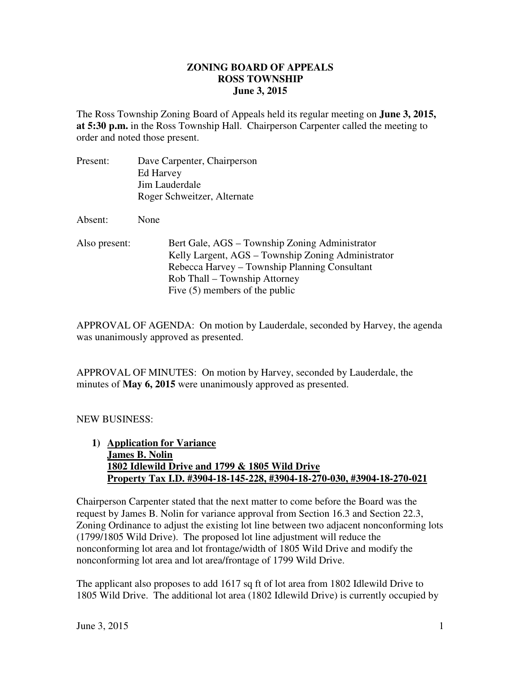#### **ZONING BOARD OF APPEALS June 3, 2015 ROSS TOWNSHIP**

 The Ross Township Zoning Board of Appeals held its regular meeting on **June 3, 2015, at 5:30 p.m.** in the Ross Township Hall. Chairperson Carpenter called the meeting to order and noted those present.

| Present:      | Dave Carpenter, Chairperson                                                                                                                                                            |
|---------------|----------------------------------------------------------------------------------------------------------------------------------------------------------------------------------------|
|               | Ed Harvey                                                                                                                                                                              |
|               | Jim Lauderdale                                                                                                                                                                         |
|               | Roger Schweitzer, Alternate                                                                                                                                                            |
| Absent:       | None                                                                                                                                                                                   |
| Also present: | Bert Gale, AGS – Township Zoning Administrator<br>Kelly Largent, AGS – Township Zoning Administrator<br>Rebecca Harvey – Township Planning Consultant<br>Rob Thall – Township Attorney |

Five (5) members of the public

 APPROVAL OF AGENDA: On motion by Lauderdale, seconded by Harvey, the agenda was unanimously approved as presented.

 APPROVAL OF MINUTES: On motion by Harvey, seconded by Lauderdale, the minutes of **May 6, 2015** were unanimously approved as presented.

### NEW BUSINESS:

 **1) Application for Variance James B. Nolin 1802 Idlewild Drive and 1799 & 1805 Wild Drive Property Tax I.D. #3904-18-145-228, #3904-18-270-030, #3904-18-270-021** 

 Chairperson Carpenter stated that the next matter to come before the Board was the request by James B. Nolin for variance approval from Section 16.3 and Section 22.3, Zoning Ordinance to adjust the existing lot line between two adjacent nonconforming lots (1799/1805 Wild Drive). The proposed lot line adjustment will reduce the nonconforming lot area and lot frontage/width of 1805 Wild Drive and modify the nonconforming lot area and lot area/frontage of 1799 Wild Drive.

 The applicant also proposes to add 1617 sq ft of lot area from 1802 Idlewild Drive to 1805 Wild Drive. The additional lot area (1802 Idlewild Drive) is currently occupied by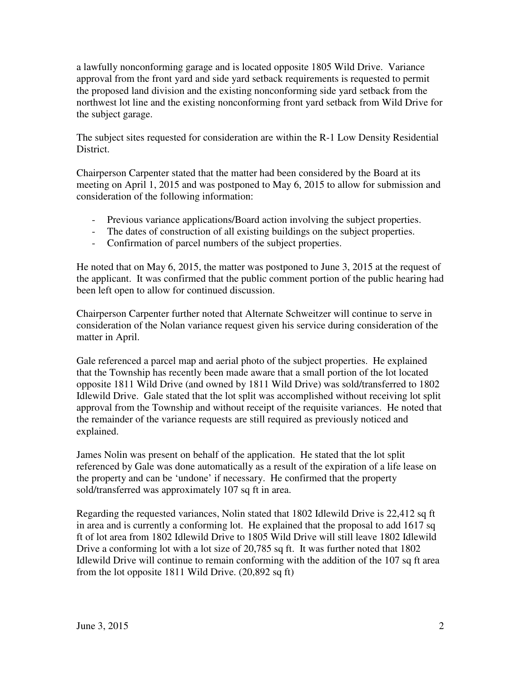a lawfully nonconforming garage and is located opposite 1805 Wild Drive. Variance approval from the front yard and side yard setback requirements is requested to permit the proposed land division and the existing nonconforming side yard setback from the northwest lot line and the existing nonconforming front yard setback from Wild Drive for the subject garage.

 The subject sites requested for consideration are within the R-1 Low Density Residential District.

 Chairperson Carpenter stated that the matter had been considered by the Board at its meeting on April 1, 2015 and was postponed to May 6, 2015 to allow for submission and consideration of the following information:

- Previous variance applications/Board action involving the subject properties.
- The dates of construction of all existing buildings on the subject properties.
- Confirmation of parcel numbers of the subject properties.

 He noted that on May 6, 2015, the matter was postponed to June 3, 2015 at the request of the applicant. It was confirmed that the public comment portion of the public hearing had been left open to allow for continued discussion.

 Chairperson Carpenter further noted that Alternate Schweitzer will continue to serve in consideration of the Nolan variance request given his service during consideration of the matter in April.

 Gale referenced a parcel map and aerial photo of the subject properties. He explained that the Township has recently been made aware that a small portion of the lot located opposite 1811 Wild Drive (and owned by 1811 Wild Drive) was sold/transferred to 1802 Idlewild Drive. Gale stated that the lot split was accomplished without receiving lot split approval from the Township and without receipt of the requisite variances. He noted that the remainder of the variance requests are still required as previously noticed and explained.

 James Nolin was present on behalf of the application. He stated that the lot split referenced by Gale was done automatically as a result of the expiration of a life lease on the property and can be 'undone' if necessary. He confirmed that the property sold/transferred was approximately 107 sq ft in area.

 Regarding the requested variances, Nolin stated that 1802 Idlewild Drive is 22,412 sq ft in area and is currently a conforming lot. He explained that the proposal to add 1617 sq ft of lot area from 1802 Idlewild Drive to 1805 Wild Drive will still leave 1802 Idlewild Drive a conforming lot with a lot size of 20,785 sq ft. It was further noted that 1802 Idlewild Drive will continue to remain conforming with the addition of the 107 sq ft area from the lot opposite 1811 Wild Drive. (20,892 sq ft)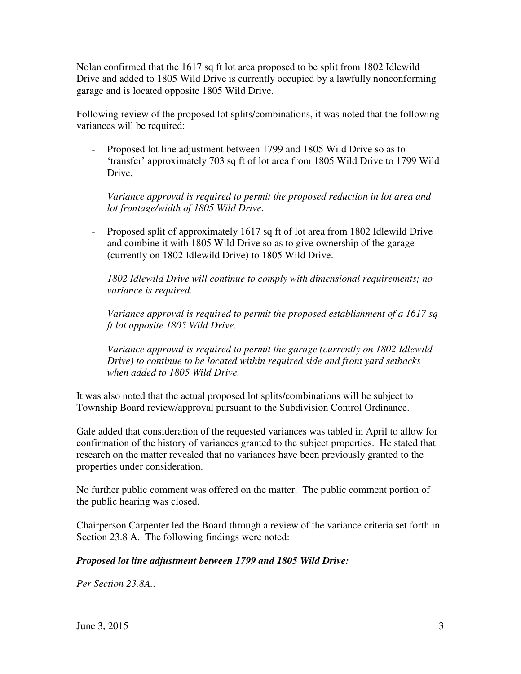Nolan confirmed that the 1617 sq ft lot area proposed to be split from 1802 Idlewild Drive and added to 1805 Wild Drive is currently occupied by a lawfully nonconforming garage and is located opposite 1805 Wild Drive.

 Following review of the proposed lot splits/combinations, it was noted that the following variances will be required:

 - Proposed lot line adjustment between 1799 and 1805 Wild Drive so as to 'transfer' approximately 703 sq ft of lot area from 1805 Wild Drive to 1799 Wild Drive.

Variance approval is required to permit the proposed reduction in lot area and  *lot frontage/width of 1805 Wild Drive.* 

 - Proposed split of approximately 1617 sq ft of lot area from 1802 Idlewild Drive and combine it with 1805 Wild Drive so as to give ownership of the garage (currently on 1802 Idlewild Drive) to 1805 Wild Drive.

 *1802 Idlewild Drive will continue to comply with dimensional requirements; no variance is required.* 

 *Variance approval is required to permit the proposed establishment of a 1617 sq ft lot opposite 1805 Wild Drive.* 

Variance approval is required to permit the garage (currently on 1802 Idlewild  *Drive) to continue to be located within required side and front yard setbacks when added to 1805 Wild Drive.* 

 It was also noted that the actual proposed lot splits/combinations will be subject to Township Board review/approval pursuant to the Subdivision Control Ordinance.

 Gale added that consideration of the requested variances was tabled in April to allow for confirmation of the history of variances granted to the subject properties. He stated that research on the matter revealed that no variances have been previously granted to the properties under consideration.

 No further public comment was offered on the matter. The public comment portion of the public hearing was closed.

 Chairperson Carpenter led the Board through a review of the variance criteria set forth in Section 23.8 A. The following findings were noted:

### *Proposed lot line adjustment between 1799 and 1805 Wild Drive:*

 *Per Section 23.8A.:*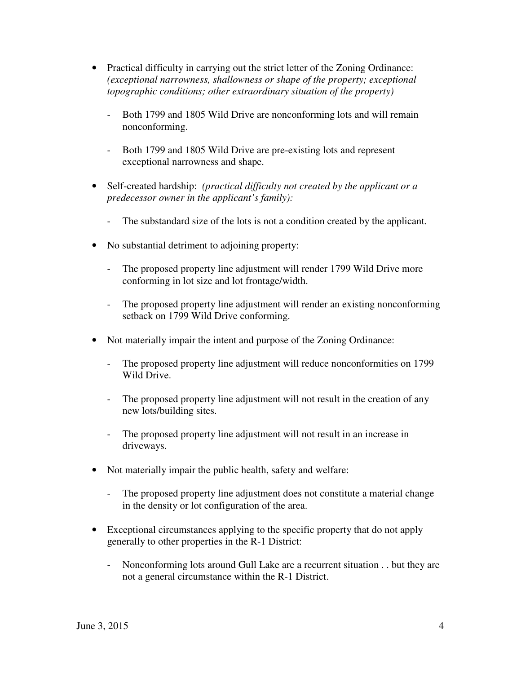- Practical difficulty in carrying out the strict letter of the Zoning Ordinance:  *(exceptional narrowness, shallowness or shape of the property; exceptional topographic conditions; other extraordinary situation of the property)* 
	- - Both 1799 and 1805 Wild Drive are nonconforming lots and will remain nonconforming.
	- - Both 1799 and 1805 Wild Drive are pre-existing lots and represent exceptional narrowness and shape.
- • Self-created hardship: *(practical difficulty not created by the applicant or a predecessor owner in the applicant's family):* 
	- The substandard size of the lots is not a condition created by the applicant.
- • No substantial detriment to adjoining property:
	- - The proposed property line adjustment will render 1799 Wild Drive more conforming in lot size and lot frontage/width.
	- The proposed property line adjustment will render an existing nonconforming setback on 1799 Wild Drive conforming.
- Not materially impair the intent and purpose of the Zoning Ordinance:
	- - The proposed property line adjustment will reduce nonconformities on 1799 Wild Drive.
	- - The proposed property line adjustment will not result in the creation of any new lots/building sites.
	- The proposed property line adjustment will not result in an increase in driveways.
- Not materially impair the public health, safety and welfare:
	- The proposed property line adjustment does not constitute a material change in the density or lot configuration of the area.
- Exceptional circumstances applying to the specific property that do not apply generally to other properties in the R-1 District:
	- Nonconforming lots around Gull Lake are a recurrent situation . . but they are not a general circumstance within the R-1 District.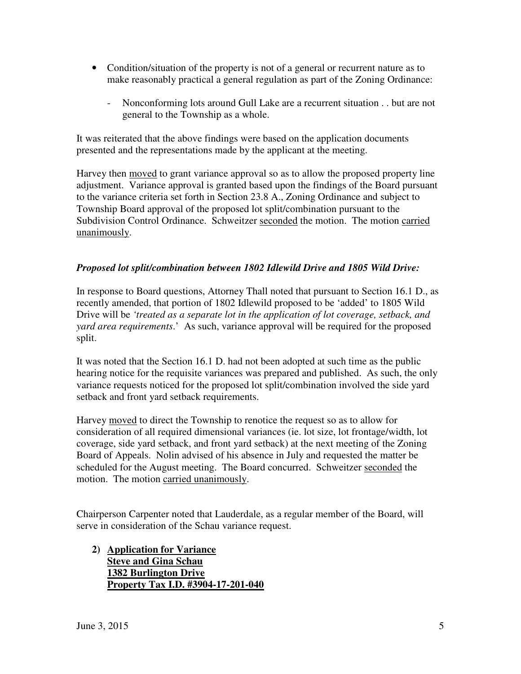- Condition/situation of the property is not of a general or recurrent nature as to make reasonably practical a general regulation as part of the Zoning Ordinance:
	- - Nonconforming lots around Gull Lake are a recurrent situation . . but are not general to the Township as a whole.

 It was reiterated that the above findings were based on the application documents presented and the representations made by the applicant at the meeting.

Harvey then moved to grant variance approval so as to allow the proposed property line adjustment. Variance approval is granted based upon the findings of the Board pursuant to the variance criteria set forth in Section 23.8 A., Zoning Ordinance and subject to Township Board approval of the proposed lot split/combination pursuant to the Subdivision Control Ordinance. Schweitzer seconded the motion. The motion carried unanimously.

## *Proposed lot split/combination between 1802 Idlewild Drive and 1805 Wild Drive:*

 In response to Board questions, Attorney Thall noted that pursuant to Section 16.1 D., as recently amended, that portion of 1802 Idlewild proposed to be 'added' to 1805 Wild Drive will be *'treated as a separate lot in the application of lot coverage, setback, and yard area requirements*.' As such, variance approval will be required for the proposed split.

 It was noted that the Section 16.1 D. had not been adopted at such time as the public hearing notice for the requisite variances was prepared and published. As such, the only variance requests noticed for the proposed lot split/combination involved the side yard setback and front yard setback requirements.

Harvey moved to direct the Township to renotice the request so as to allow for consideration of all required dimensional variances (ie. lot size, lot frontage/width, lot coverage, side yard setback, and front yard setback) at the next meeting of the Zoning Board of Appeals. Nolin advised of his absence in July and requested the matter be scheduled for the August meeting. The Board concurred. Schweitzer seconded the motion. The motion carried unanimously.

 Chairperson Carpenter noted that Lauderdale, as a regular member of the Board, will serve in consideration of the Schau variance request.

 **2) Application for Variance Steve and Gina Schau 1382 Burlington Drive Property Tax I.D. #3904-17-201-040**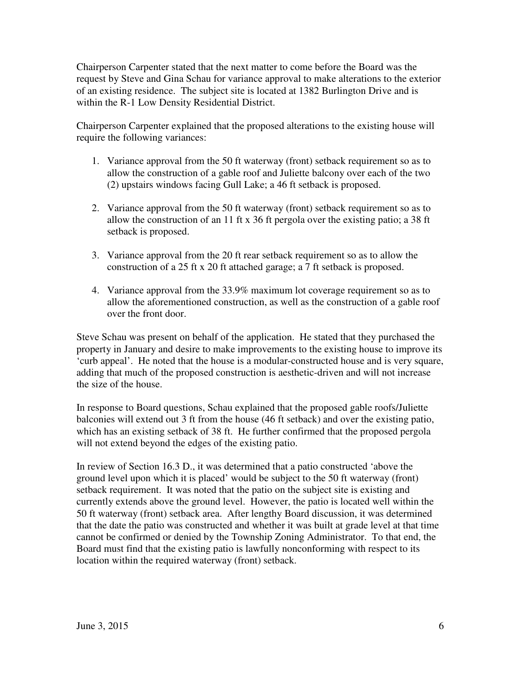Chairperson Carpenter stated that the next matter to come before the Board was the request by Steve and Gina Schau for variance approval to make alterations to the exterior of an existing residence. The subject site is located at 1382 Burlington Drive and is within the R-1 Low Density Residential District.

 Chairperson Carpenter explained that the proposed alterations to the existing house will require the following variances:

- 1. Variance approval from the 50 ft waterway (front) setback requirement so as to allow the construction of a gable roof and Juliette balcony over each of the two (2) upstairs windows facing Gull Lake; a 46 ft setback is proposed.
- 2. Variance approval from the 50 ft waterway (front) setback requirement so as to allow the construction of an 11 ft x 36 ft pergola over the existing patio; a 38 ft setback is proposed.
- 3. Variance approval from the 20 ft rear setback requirement so as to allow the construction of a 25 ft x 20 ft attached garage; a 7 ft setback is proposed.
- 4. Variance approval from the 33.9% maximum lot coverage requirement so as to allow the aforementioned construction, as well as the construction of a gable roof over the front door.

 Steve Schau was present on behalf of the application. He stated that they purchased the property in January and desire to make improvements to the existing house to improve its 'curb appeal'. He noted that the house is a modular-constructed house and is very square, adding that much of the proposed construction is aesthetic-driven and will not increase the size of the house.

 In response to Board questions, Schau explained that the proposed gable roofs/Juliette balconies will extend out 3 ft from the house (46 ft setback) and over the existing patio, which has an existing setback of 38 ft. He further confirmed that the proposed pergola will not extend beyond the edges of the existing patio.

 In review of Section 16.3 D., it was determined that a patio constructed 'above the ground level upon which it is placed' would be subject to the 50 ft waterway (front) setback requirement. It was noted that the patio on the subject site is existing and currently extends above the ground level. However, the patio is located well within the 50 ft waterway (front) setback area. After lengthy Board discussion, it was determined that the date the patio was constructed and whether it was built at grade level at that time cannot be confirmed or denied by the Township Zoning Administrator. To that end, the Board must find that the existing patio is lawfully nonconforming with respect to its location within the required waterway (front) setback.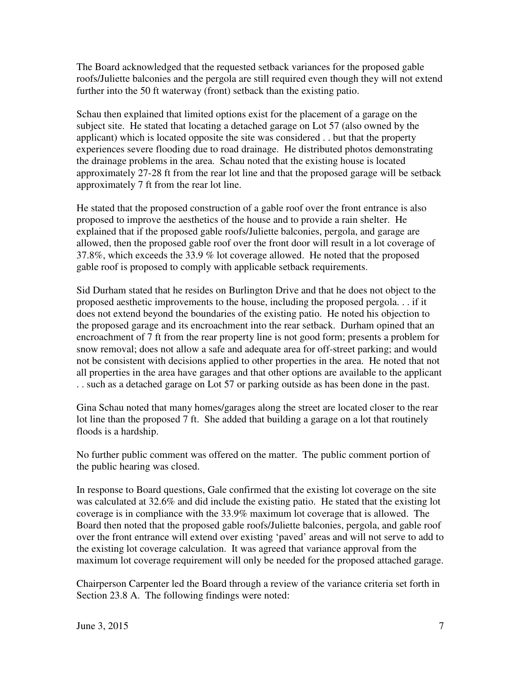The Board acknowledged that the requested setback variances for the proposed gable roofs/Juliette balconies and the pergola are still required even though they will not extend further into the 50 ft waterway (front) setback than the existing patio.

 Schau then explained that limited options exist for the placement of a garage on the subject site. He stated that locating a detached garage on Lot 57 (also owned by the applicant) which is located opposite the site was considered . . but that the property experiences severe flooding due to road drainage. He distributed photos demonstrating the drainage problems in the area. Schau noted that the existing house is located approximately 27-28 ft from the rear lot line and that the proposed garage will be setback approximately 7 ft from the rear lot line.

 He stated that the proposed construction of a gable roof over the front entrance is also proposed to improve the aesthetics of the house and to provide a rain shelter. He explained that if the proposed gable roofs/Juliette balconies, pergola, and garage are allowed, then the proposed gable roof over the front door will result in a lot coverage of 37.8%, which exceeds the 33.9 % lot coverage allowed. He noted that the proposed gable roof is proposed to comply with applicable setback requirements.

 Sid Durham stated that he resides on Burlington Drive and that he does not object to the proposed aesthetic improvements to the house, including the proposed pergola. . . if it does not extend beyond the boundaries of the existing patio. He noted his objection to the proposed garage and its encroachment into the rear setback. Durham opined that an encroachment of 7 ft from the rear property line is not good form; presents a problem for snow removal; does not allow a safe and adequate area for off-street parking; and would not be consistent with decisions applied to other properties in the area. He noted that not all properties in the area have garages and that other options are available to the applicant . . such as a detached garage on Lot 57 or parking outside as has been done in the past.

 Gina Schau noted that many homes/garages along the street are located closer to the rear lot line than the proposed 7 ft. She added that building a garage on a lot that routinely floods is a hardship.

 No further public comment was offered on the matter. The public comment portion of the public hearing was closed.

 In response to Board questions, Gale confirmed that the existing lot coverage on the site was calculated at 32.6% and did include the existing patio. He stated that the existing lot coverage is in compliance with the 33.9% maximum lot coverage that is allowed. The Board then noted that the proposed gable roofs/Juliette balconies, pergola, and gable roof over the front entrance will extend over existing 'paved' areas and will not serve to add to the existing lot coverage calculation. It was agreed that variance approval from the maximum lot coverage requirement will only be needed for the proposed attached garage.

 Chairperson Carpenter led the Board through a review of the variance criteria set forth in Section 23.8 A. The following findings were noted: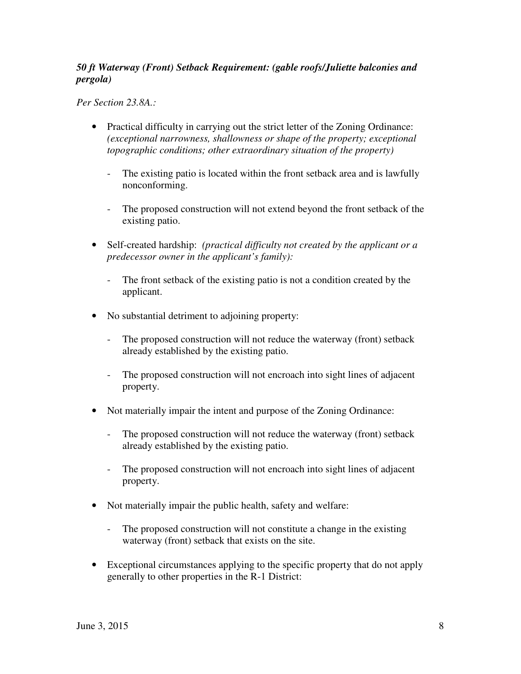## *50 ft Waterway (Front) Setback Requirement: (gable roofs/Juliette balconies and pergola)*

 *Per Section 23.8A.:* 

- • Practical difficulty in carrying out the strict letter of the Zoning Ordinance:  *(exceptional narrowness, shallowness or shape of the property; exceptional topographic conditions; other extraordinary situation of the property)* 
	- - The existing patio is located within the front setback area and is lawfully nonconforming.
	- - The proposed construction will not extend beyond the front setback of the existing patio.
- • Self-created hardship: *(practical difficulty not created by the applicant or a predecessor owner in the applicant's family):* 
	- - The front setback of the existing patio is not a condition created by the applicant.
- • No substantial detriment to adjoining property:
	- The proposed construction will not reduce the waterway (front) setback already established by the existing patio.
	- The proposed construction will not encroach into sight lines of adjacent property.
- Not materially impair the intent and purpose of the Zoning Ordinance:
	- The proposed construction will not reduce the waterway (front) setback already established by the existing patio.
	- The proposed construction will not encroach into sight lines of adjacent property.
- Not materially impair the public health, safety and welfare:
	- The proposed construction will not constitute a change in the existing waterway (front) setback that exists on the site.
- Exceptional circumstances applying to the specific property that do not apply generally to other properties in the R-1 District: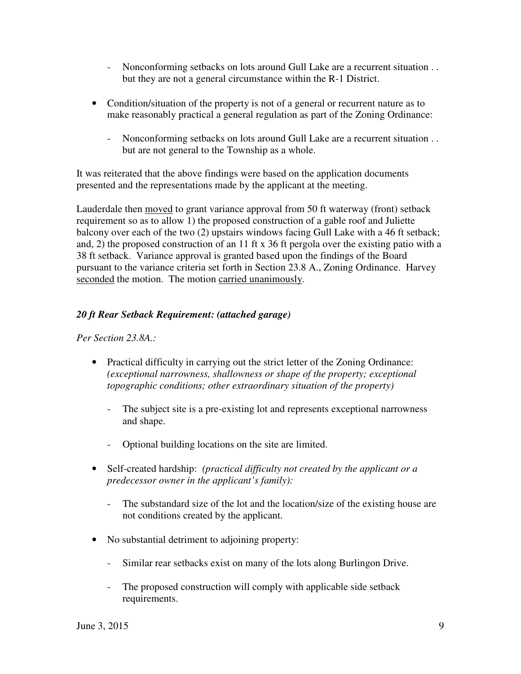- - Nonconforming setbacks on lots around Gull Lake are a recurrent situation . . but they are not a general circumstance within the R-1 District.
- Condition/situation of the property is not of a general or recurrent nature as to make reasonably practical a general regulation as part of the Zoning Ordinance:
	- - Nonconforming setbacks on lots around Gull Lake are a recurrent situation . . but are not general to the Township as a whole.

 It was reiterated that the above findings were based on the application documents presented and the representations made by the applicant at the meeting.

Lauderdale then moved to grant variance approval from 50 ft waterway (front) setback requirement so as to allow 1) the proposed construction of a gable roof and Juliette balcony over each of the two (2) upstairs windows facing Gull Lake with a 46 ft setback; and, 2) the proposed construction of an 11 ft x 36 ft pergola over the existing patio with a 38 ft setback. Variance approval is granted based upon the findings of the Board pursuant to the variance criteria set forth in Section 23.8 A., Zoning Ordinance. Harvey seconded the motion. The motion carried unanimously.

# *20 ft Rear Setback Requirement: (attached garage)*

 *Per Section 23.8A.:* 

- Practical difficulty in carrying out the strict letter of the Zoning Ordinance:  *(exceptional narrowness, shallowness or shape of the property; exceptional topographic conditions; other extraordinary situation of the property)* 
	- - The subject site is a pre-existing lot and represents exceptional narrowness and shape.
	- Optional building locations on the site are limited.
- • Self-created hardship: *(practical difficulty not created by the applicant or a predecessor owner in the applicant's family):* 
	- The substandard size of the lot and the location/size of the existing house are not conditions created by the applicant.
- • No substantial detriment to adjoining property:
	- Similar rear setbacks exist on many of the lots along Burlingon Drive.
	- The proposed construction will comply with applicable side setback requirements.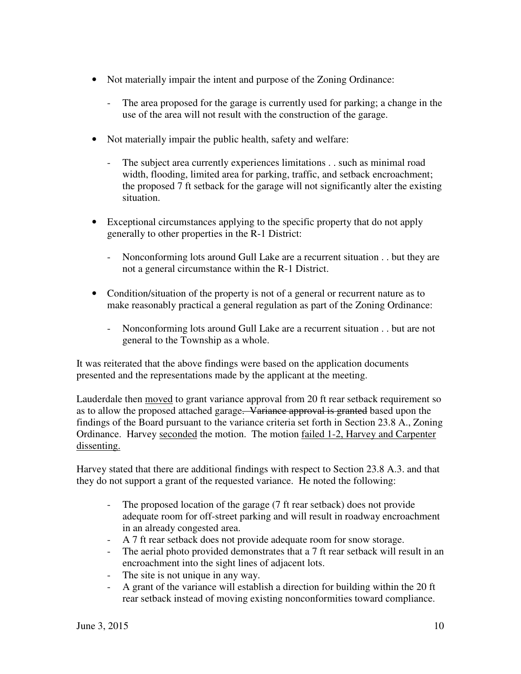- Not materially impair the intent and purpose of the Zoning Ordinance:
	- - The area proposed for the garage is currently used for parking; a change in the use of the area will not result with the construction of the garage.
- Not materially impair the public health, safety and welfare:
	- - The subject area currently experiences limitations . . such as minimal road width, flooding, limited area for parking, traffic, and setback encroachment; the proposed 7 ft setback for the garage will not significantly alter the existing situation.
- • Exceptional circumstances applying to the specific property that do not apply generally to other properties in the R-1 District:
	- - Nonconforming lots around Gull Lake are a recurrent situation . . but they are not a general circumstance within the R-1 District.
- Condition/situation of the property is not of a general or recurrent nature as to make reasonably practical a general regulation as part of the Zoning Ordinance:
	- - Nonconforming lots around Gull Lake are a recurrent situation . . but are not general to the Township as a whole.

 It was reiterated that the above findings were based on the application documents presented and the representations made by the applicant at the meeting.

Lauderdale then **moved** to grant variance approval from 20 ft rear setback requirement so as to allow the proposed attached garage. Variance approval is granted based upon the findings of the Board pursuant to the variance criteria set forth in Section 23.8 A., Zoning Ordinance. Harvey seconded the motion. The motion failed 1-2, Harvey and Carpenter dissenting.

 Harvey stated that there are additional findings with respect to Section 23.8 A.3. and that they do not support a grant of the requested variance. He noted the following:

- The proposed location of the garage (7 ft rear setback) does not provide adequate room for off-street parking and will result in roadway encroachment in an already congested area.
- A 7 ft rear setback does not provide adequate room for snow storage.
- - The aerial photo provided demonstrates that a 7 ft rear setback will result in an encroachment into the sight lines of adjacent lots.
- The site is not unique in any way.
- - A grant of the variance will establish a direction for building within the 20 ft rear setback instead of moving existing nonconformities toward compliance.